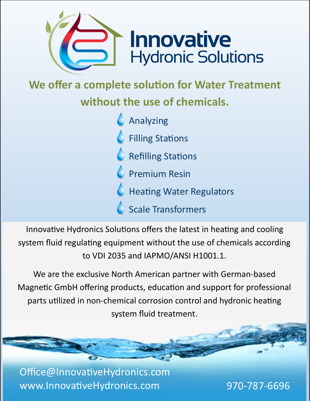

**We offer a complete solution for Water Treatment** 

# **without the use of chemicals.**

**C** Analyzing **C** Filling Stations  $\triangle$  Refilling Stations **C** Premium Resin **C** Heating Water Regulators C Scale Transformers

Innovative Hydronics Solutions offers the latest in heating and cooling system fluid regulating equipment without the use of chemicals according to VDI 2035 and IAPMO/ANSI H1001.1.

We are the exclusive North American partner with German-based Magnetic GmbH offering products, education and support for professional parts utilized in non-chemical corrosion control and hydronic heating system fluid treatment.

Office@InnovativeHydronics.com www.InnovativeHydronics.com 970-787-6696